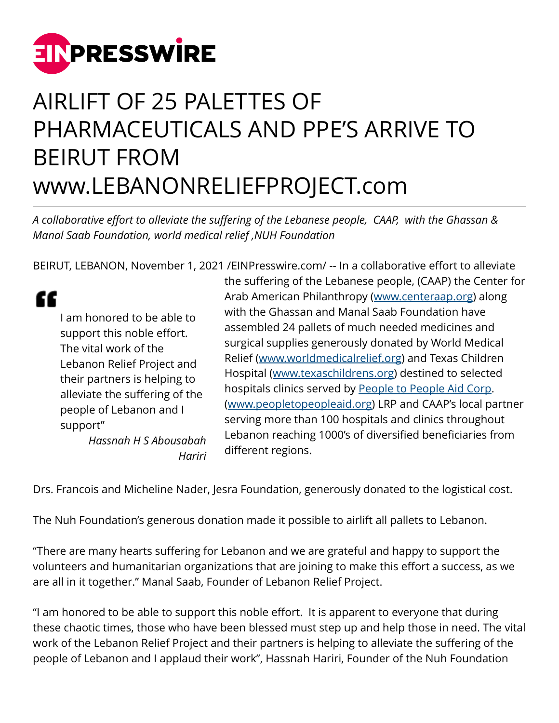

## AIRLIFT OF 25 PALETTES OF PHARMACEUTICALS AND PPE'S ARRIVE TO BEIRUT FROM www.LEBANONRELIEFPROJECT.com

*A collaborative effort to alleviate the suffering of the Lebanese people, CAAP, with the Ghassan & Manal Saab Foundation, world medical relief ,NUH Foundation*

BEIRUT, LEBANON, November 1, 2021 [/EINPresswire.com](http://www.einpresswire.com)/ -- In a collaborative effort to alleviate

## "

I am honored to be able to support this noble effort. The vital work of the Lebanon Relief Project and their partners is helping to alleviate the suffering of the people of Lebanon and I support"

*Hassnah H S Abousabah Hariri* the suffering of the Lebanese people, (CAAP) the Center for Arab American Philanthropy ([www.centeraap.org](http://www.centeraap.org)) along with the Ghassan and Manal Saab Foundation have assembled 24 pallets of much needed medicines and surgical supplies generously donated by World Medical Relief ([www.worldmedicalrelief.org\)](http://www.worldmedicalrelief.org) and Texas Children Hospital ([www.texaschildrens.org\)](http://www.texaschildrens.org) destined to selected hospitals clinics served by [People to People Aid Corp](http://peopletopeopleaid.org). ([www.peopletopeopleaid.org](http://www.peopletopeopleaid.org)) LRP and CAAP's local partner serving more than 100 hospitals and clinics throughout Lebanon reaching 1000's of diversified beneficiaries from different regions.

Drs. Francois and Micheline Nader, Jesra Foundation, generously donated to the logistical cost.

The Nuh Foundation's generous donation made it possible to airlift all pallets to Lebanon.

"There are many hearts suffering for Lebanon and we are grateful and happy to support the volunteers and humanitarian organizations that are joining to make this effort a success, as we are all in it together." Manal Saab, Founder of Lebanon Relief Project.

"I am honored to be able to support this noble effort. It is apparent to everyone that during these chaotic times, those who have been blessed must step up and help those in need. The vital work of the Lebanon Relief Project and their partners is helping to alleviate the suffering of the people of Lebanon and I applaud their work", Hassnah Hariri, Founder of the Nuh Foundation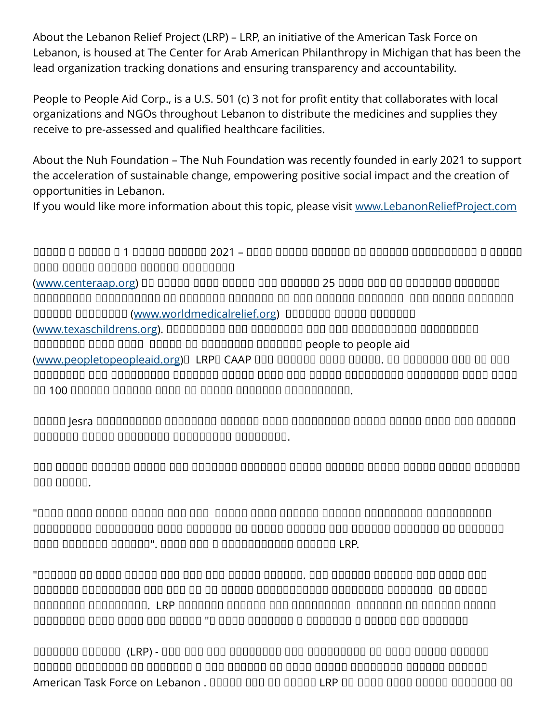About the Lebanon Relief Project (LRP) – LRP, an initiative of the American Task Force on Lebanon, is housed at The Center for Arab American Philanthropy in Michigan that has been the lead organization tracking donations and ensuring transparency and accountability.

People to People Aid Corp., is a U.S. 501 (c) 3 not for profit entity that collaborates with local organizations and NGOs throughout Lebanon to distribute the medicines and supplies they receive to pre-assessed and qualified healthcare facilities.

About the Nuh Foundation – The Nuh Foundation was recently founded in early 2021 to support the acceleration of sustainable change, empowering positive social impact and the creation of opportunities in Lebanon.

If you would like more information about this topic, please visit [www.LebanonReliefProject.com](http://www.LebanonReliefProject.com)

نواعت بن نواع من قوات المنافس من نيسا في المنافس المن المن المن المن المن المن المن النيرشت المن النيرشت المنا يرمال المستملح المعلا المعلا المعلا المعلا داوملاو ةيودألا نم نحش ةصنم 25 نيمأتل بعص لانمو ناسغ ةسسؤم عم ([org.centeraap.www](http://www.centeraap.org)( ة ثاغرا تاريخ البقور البقور البقور البقور البقور البقور البقور البقور البقور البقور يورور من البقور يورورور ال لافطألل ساسكت ىفشتسمو [\(org.worldmedicalrelief.www](http://www.worldmedicalrelief.org) (ةيملاعلا ةيبطلا تادايعلاو تايفشتسملا ضعب ّيه تاعربتلا هذه ةَهْجُوَو .([org.texaschildrens.www](http://www.texaschildrens.org)( and people to people aid هذه نأ ىلإ ةراشإلا عم .رمتسم لكشب اهتمدخ ىلع CAAP وLRP و([org.peopletopeopleaid.www](http://www.peopletopeopleaid.org)( رثاني تابلطتمو تامزلتمو تامزلتمو تامزلت وحافظ تامزل والمزار التقاسل التقبيس التقبيس التقبيس التقبيض المنافس an 100 pagang pagang pagang ang anggang pagangananan.

اهقتاع ىلع تذخأ ،ردان نيلشم ةروتكدلاو ردان اوسنرف روتكدلاب ةلّثمتُملا Jesra ةسسؤم . andada adaan adaaaaa adaaaaaa adaaaaaa.

ة وقرقاه وقاما فقروم والقناف والقناف والقناف والمنافس والقناص والتي تناصر فالقناف المتوا والتاريخ القناف nnn nnnnn.

نتواصف بالمسبور والمسافر والمسافر والمسافر فالمسافر بالمسافر المسافر المسافر بالمسافر بالمسافر ةثراكلا ناق قموموما ومحادره ماه مهملا ومحاجن المعارض ومحاجن التامي المعارضات المطروعات ومحادث adaa aadaada aadaaa". aada aad a aadaadaadaa aadaaa LRP.

هذه لامو مواقف لا مواقف الخطور المواقف . ومواقف المعدولات الذهبي الذهبي الذهبي الذهبي الذهبي الذهبي الذهبي الذ أ مدققت نا قريفون من المناطق التاريخي بمن نشاط التي تشخيص بالتاريخي بيناكم التاقو التاريخي ، ويوضون ا بعشلا ةاناعم نم فيفختلل ةدعاسُملا ىلع نوبأدي هؤاكرشو LRP .نيجاتحملا ةدعاسُمب هي مومومو فسوم المواقف ل فسومون فسوم المواقف المسوم ، يرير من ينشر بن ينان المواقف ، ومعنومات الناس

يريخلا لمعلا زكرم يف ةّيموكحلا ريغ ةمّظنملا هذه رقم عقي - (LRP (عورشمل ةبسنلاب نانبلب ينانبو ومالو ومالوما ومالو ومالو ومالو والمعلومات ومالو ومالو ، ناغيشي والمعلومات ، ناغيشيم ي American Task Force on Lebanon . DOOD DOO DO DOOD LRP ON DOOD DOOD DOODDOOD ON